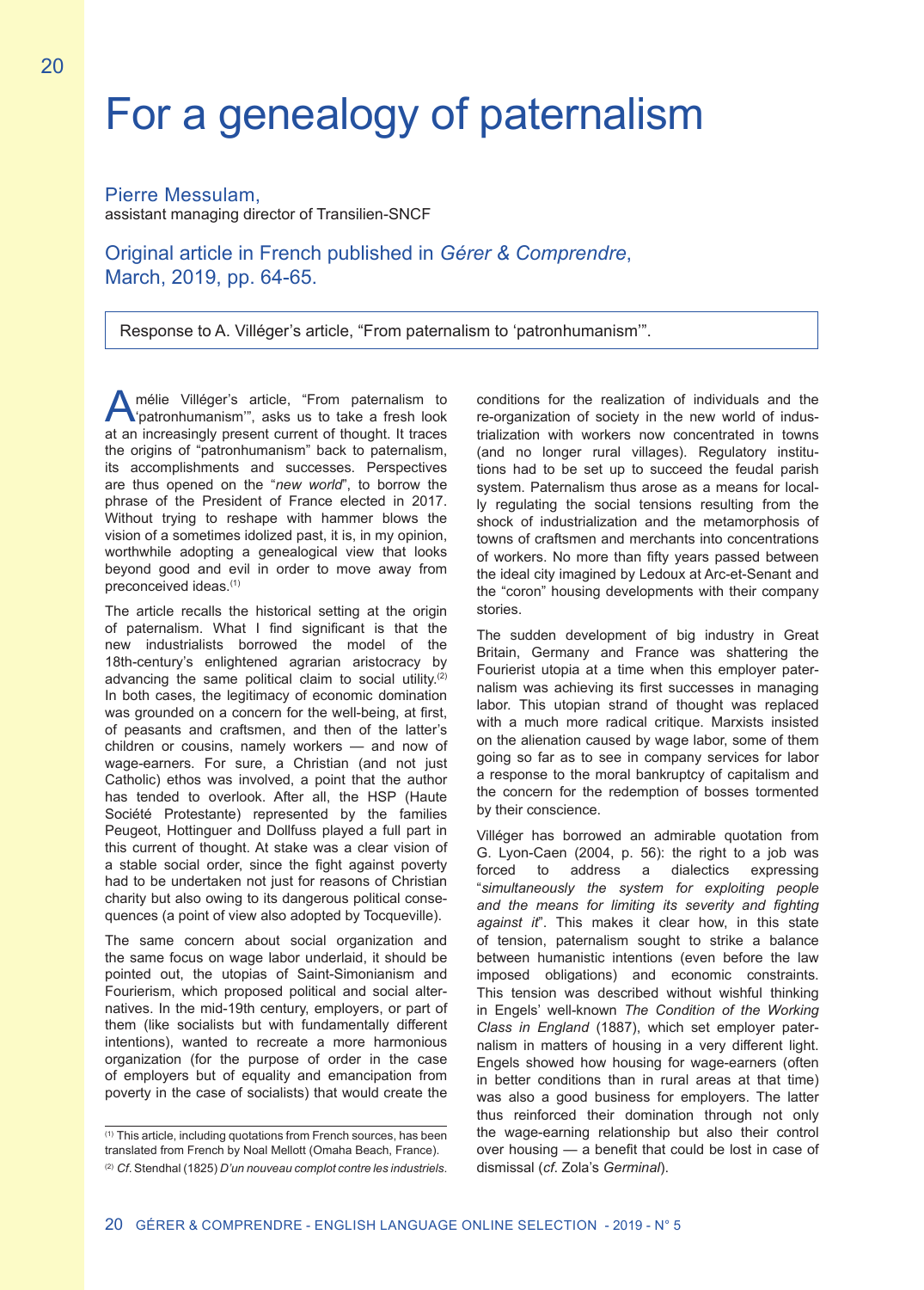## For a genealogy of paternalism

Pierre Messulam,

assistant managing director of Transilien-SNCF

## Original article in French published in *Gérer & Comprendre*, March, 2019, pp. 64-65.

Response to A. Villéger's article, "From paternalism to 'patronhumanism'".

Amélie Villéger's article, "From paternalism to "patronhumanism", asks us to take a fresh look at an increasingly present current of thought. It traces the origins of "patronhumanism" back to paternalism, its accomplishments and successes. Perspectives are thus opened on the "*new world*", to borrow the phrase of the President of France elected in 2017. Without trying to reshape with hammer blows the vision of a sometimes idolized past, it is, in my opinion, worthwhile adopting a genealogical view that looks beyond good and evil in order to move away from preconceived ideas.(1)

The article recalls the historical setting at the origin of paternalism. What I find significant is that the new industrialists borrowed the model of the 18th-century's enlightened agrarian aristocracy by advancing the same political claim to social utility.<sup>(2)</sup> In both cases, the legitimacy of economic domination was grounded on a concern for the well-being, at first, of peasants and craftsmen, and then of the latter's children or cousins, namely workers — and now of wage-earners. For sure, a Christian (and not just Catholic) ethos was involved, a point that the author has tended to overlook. After all, the HSP (Haute Société Protestante) represented by the families Peugeot, Hottinguer and Dollfuss played a full part in this current of thought. At stake was a clear vision of a stable social order, since the fight against poverty had to be undertaken not just for reasons of Christian charity but also owing to its dangerous political consequences (a point of view also adopted by Tocqueville).

The same concern about social organization and the same focus on wage labor underlaid, it should be pointed out, the utopias of Saint-Simonianism and Fourierism, which proposed political and social alternatives. In the mid-19th century, employers, or part of them (like socialists but with fundamentally different intentions), wanted to recreate a more harmonious organization (for the purpose of order in the case of employers but of equality and emancipation from poverty in the case of socialists) that would create the

(1) This article, including quotations from French sources, has been translated from French by Noal Mellott (Omaha Beach, France).

conditions for the realization of individuals and the re-organization of society in the new world of industrialization with workers now concentrated in towns (and no longer rural villages). Regulatory institutions had to be set up to succeed the feudal parish system. Paternalism thus arose as a means for locally regulating the social tensions resulting from the shock of industrialization and the metamorphosis of towns of craftsmen and merchants into concentrations of workers. No more than fifty years passed between the ideal city imagined by Ledoux at Arc-et-Senant and the "coron" housing developments with their company stories.

The sudden development of big industry in Great Britain, Germany and France was shattering the Fourierist utopia at a time when this employer paternalism was achieving its first successes in managing labor. This utopian strand of thought was replaced with a much more radical critique. Marxists insisted on the alienation caused by wage labor, some of them going so far as to see in company services for labor a response to the moral bankruptcy of capitalism and the concern for the redemption of bosses tormented by their conscience.

Villéger has borrowed an admirable quotation from G. Lyon-Caen (2004, p. 56): the right to a job was forced to address a dialectics expressing "*simultaneously the system for exploiting people and the means for limiting its severity and fighting against it*". This makes it clear how, in this state of tension, paternalism sought to strike a balance between humanistic intentions (even before the law imposed obligations) and economic constraints. This tension was described without wishful thinking in Engels' well-known *The Condition of the Working Class in England* (1887), which set employer paternalism in matters of housing in a very different light. Engels showed how housing for wage-earners (often in better conditions than in rural areas at that time) was also a good business for employers. The latter thus reinforced their domination through not only the wage-earning relationship but also their control over housing — a benefit that could be lost in case of dismissal (*cf*. Zola's *Germinal*).

<sup>(2)</sup> *Cf*. Stendhal (1825) *D'un nouveau complot contre les industriels*.